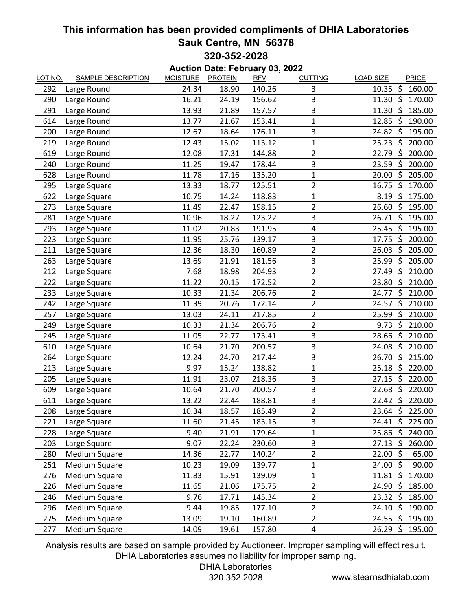## **This information has been provided compliments of DHIA Laboratories Sauk Centre, MN 56378 320-352-2028**

| <b>Auction Date: February 03, 2022</b> |                           |                 |                |            |                |                                       |  |  |  |  |
|----------------------------------------|---------------------------|-----------------|----------------|------------|----------------|---------------------------------------|--|--|--|--|
| LOT NO.                                | <b>SAMPLE DESCRIPTION</b> | <b>MOISTURE</b> | <b>PROTEIN</b> | <b>RFV</b> | <b>CUTTING</b> | <b>LOAD SIZE</b><br>PRICE             |  |  |  |  |
| 292                                    | Large Round               | 24.34           | 18.90          | 140.26     | 3              | $10.35 \text{ } \text{S}$<br>160.00   |  |  |  |  |
| 290                                    | Large Round               | 16.21           | 24.19          | 156.62     | 3              | $11.30 \; \text{S}$<br>170.00         |  |  |  |  |
| 291                                    | Large Round               | 13.93           | 21.89          | 157.57     | 3              | \$<br>11.30<br>185.00                 |  |  |  |  |
| 614                                    | Large Round               | 13.77           | 21.67          | 153.41     | $\mathbf 1$    | 12.85<br>- \$<br>190.00               |  |  |  |  |
| 200                                    | Large Round               | 12.67           | 18.64          | 176.11     | 3              | 24.82 \$<br>195.00                    |  |  |  |  |
| 219                                    | Large Round               | 12.43           | 15.02          | 113.12     | $\mathbf{1}$   | $25.23$ \$<br>200.00                  |  |  |  |  |
| 619                                    | Large Round               | 12.08           | 17.31          | 144.88     | $\overline{2}$ | \$<br>22.79<br>200.00                 |  |  |  |  |
| 240                                    | Large Round               | 11.25           | 19.47          | 178.44     | 3              | \$<br>23.59<br>200.00                 |  |  |  |  |
| 628                                    | Large Round               | 11.78           | 17.16          | 135.20     | $\mathbf{1}$   | $\ddot{\varsigma}$<br>205.00<br>20.00 |  |  |  |  |
| 295                                    | Large Square              | 13.33           | 18.77          | 125.51     | 2              | - Ś<br>16.75<br>170.00                |  |  |  |  |
| 622                                    | Large Square              | 10.75           | 14.24          | 118.83     | $\mathbf 1$    | -\$<br>8.19<br>175.00                 |  |  |  |  |
| 273                                    | Large Square              | 11.49           | 22.47          | 198.15     | $\overline{2}$ | 26.60<br>$\zeta$<br>195.00            |  |  |  |  |
| 281                                    | Large Square              | 10.96           | 18.27          | 123.22     | 3              | $26.71$ \$<br>195.00                  |  |  |  |  |
| 293                                    | Large Square              | 11.02           | 20.83          | 191.95     | 4              | S.<br>25.45<br>195.00                 |  |  |  |  |
| 223                                    | Large Square              | 11.95           | 25.76          | 139.17     | 3              | $17.75$ \$<br>200.00                  |  |  |  |  |
| 211                                    | Large Square              | 12.36           | 18.30          | 160.89     | $\overline{c}$ | \$<br>205.00<br>26.03                 |  |  |  |  |
| 263                                    | Large Square              | 13.69           | 21.91          | 181.56     | 3              | -\$<br>25.99<br>205.00                |  |  |  |  |
| 212                                    | Large Square              | 7.68            | 18.98          | 204.93     | $\overline{2}$ | $27.49 \text{ }$<br>210.00            |  |  |  |  |
| 222                                    | Large Square              | 11.22           | 20.15          | 172.52     | $\overline{c}$ | 23.80<br>\$<br>210.00                 |  |  |  |  |
| 233                                    | Large Square              | 10.33           | 21.34          | 206.76     | $\overline{2}$ | $\zeta$<br>210.00<br>24.77            |  |  |  |  |
| 242                                    | Large Square              | 11.39           | 20.76          | 172.14     | $\overline{2}$ | $24.57$ \$<br>210.00                  |  |  |  |  |
| 257                                    | Large Square              | 13.03           | 24.11          | 217.85     | $\overline{2}$ | \$<br>210.00<br>25.99                 |  |  |  |  |
| 249                                    | Large Square              | 10.33           | 21.34          | 206.76     | $\overline{2}$ | $\mathsf{S}$<br>9.73<br>210.00        |  |  |  |  |
| 245                                    | Large Square              | 11.05           | 22.77          | 173.41     | 3              | 28.66 \$ 210.00                       |  |  |  |  |
| 610                                    | Large Square              | 10.64           | 21.70          | 200.57     | 3              | $24.08 \; \simeq$<br>210.00           |  |  |  |  |
| 264                                    | Large Square              | 12.24           | 24.70          | 217.44     | 3              | \$<br>26.70<br>215.00                 |  |  |  |  |
| 213                                    | Large Square              | 9.97            | 15.24          | 138.82     | $\mathbf{1}$   | $25.18$ \$<br>220.00                  |  |  |  |  |
| 205                                    | Large Square              | 11.91           | 23.07          | 218.36     | 3              | $\zeta$<br>220.00<br>27.15            |  |  |  |  |
| 609                                    | Large Square              | 10.64           | 21.70          | 200.57     | 3              | $22.68$ \$<br>220.00                  |  |  |  |  |
| 611                                    | Large Square              | 13.22           | 22.44          | 188.81     | 3              | 22.42 \$ 220.00                       |  |  |  |  |
| 208                                    | Large Square              | 10.34           | 18.57          | 185.49     | $\overline{c}$ | 23.64 \$ 225.00                       |  |  |  |  |
| 221                                    | Large Square              | 11.60           | 21.45          | 183.15     | 3              | 24.41 \$ 225.00                       |  |  |  |  |
| 228                                    | Large Square              | 9.40            | 21.91          | 179.64     | 1              | 25.86 \$ 240.00                       |  |  |  |  |
| 203                                    | Large Square              | 9.07            | 22.24          | 230.60     | 3              | 27.13 \$ 260.00                       |  |  |  |  |
| 280                                    | <b>Medium Square</b>      | 14.36           | 22.77          | 140.24     | 2              | $22.00 \; \simeq$<br>65.00            |  |  |  |  |
| 251                                    | Medium Square             | 10.23           | 19.09          | 139.77     | 1              | $24.00 \; \simeq$<br>90.00            |  |  |  |  |
| 276                                    | Medium Square             | 11.83           | 15.91          | 139.09     | $\mathbf{1}$   | 11.81 \$ 170.00                       |  |  |  |  |
| 226                                    | <b>Medium Square</b>      | 11.65           | 21.06          | 175.75     | $\overline{2}$ | $24.90 \; \zeta$<br>185.00            |  |  |  |  |
| 246                                    | Medium Square             | 9.76            | 17.71          | 145.34     | $\overline{2}$ | $23.32 \div$<br>185.00                |  |  |  |  |
| 296                                    | Medium Square             | 9.44            | 19.85          | 177.10     | $\overline{2}$ | $24.10 \; \text{S}$<br>190.00         |  |  |  |  |
| 275                                    | <b>Medium Square</b>      | 13.09           | 19.10          | 160.89     | $\overline{2}$ | 24.55 \$ 195.00                       |  |  |  |  |
| 277                                    | Medium Square             | 14.09           | 19.61          | 157.80     | 4              | 26.29 \$<br>195.00                    |  |  |  |  |

Analysis results are based on sample provided by Auctioneer. Improper sampling will effect result. DHIA Laboratories assumes no liability for improper sampling.

## DHIA Laboratories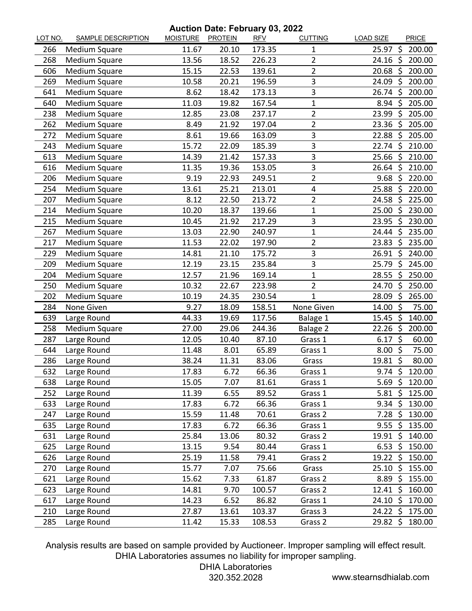## **Auction Date: February 03, 2022**

| LOT NO. | <b>SAMPLE DESCRIPTION</b> | <u>MOISTURE</u> | <b>PROTEIN</b> | <b>RFV</b> | <b>CUTTING</b>          | <b>LOAD SIZE</b>    |                    | <b>PRICE</b>   |
|---------|---------------------------|-----------------|----------------|------------|-------------------------|---------------------|--------------------|----------------|
| 266     | Medium Square             | 11.67           | 20.10          | 173.35     | 1                       | 25.97 \$            |                    | 200.00         |
| 268     | Medium Square             | 13.56           | 18.52          | 226.23     | $\overline{2}$          | $24.16 \;$ \$       |                    | 200.00         |
| 606     | Medium Square             | 15.15           | 22.53          | 139.61     | $\overline{2}$          | 20.68 \$            |                    | 200.00         |
| 269     | Medium Square             | 10.58           | 20.21          | 196.59     | 3                       | 24.09               | -\$                | 200.00         |
| 641     | Medium Square             | 8.62            | 18.42          | 173.13     | 3                       | 26.74               | Ŝ.                 | 200.00         |
| 640     | Medium Square             | 11.03           | 19.82          | 167.54     | 1                       | $8.94$ \$           |                    | 205.00         |
| 238     | Medium Square             | 12.85           | 23.08          | 237.17     | 2                       | 23.99               | -\$                | 205.00         |
| 262     | Medium Square             | 8.49            | 21.92          | 197.04     | $\overline{2}$          | 23.36               | Ŝ.                 | 205.00         |
| 272     | <b>Medium Square</b>      | 8.61            | 19.66          | 163.09     | 3                       | $22.88$ \$          |                    | 205.00         |
| 243     | Medium Square             | 15.72           | 22.09          | 185.39     | 3                       | $22.74 \; \text{S}$ |                    | 210.00         |
| 613     | Medium Square             | 14.39           | 21.42          | 157.33     | 3                       | 25.66               | -Ś                 | 210.00         |
| 616     | Medium Square             | 11.35           | 19.36          | 153.05     | 3                       | 26.64 \$            |                    | 210.00         |
| 206     | Medium Square             | 9.19            | 22.93          | 249.51     | $\overline{2}$          | 9.68                | -\$                | 220.00         |
| 254     | Medium Square             | 13.61           | 25.21          | 213.01     | $\overline{\mathbf{4}}$ | 25.88               | \$                 | 220.00         |
| 207     | Medium Square             | 8.12            | 22.50          | 213.72     | $\overline{2}$          | $24.58 \; \zeta$    |                    | 225.00         |
| 214     | Medium Square             | 10.20           | 18.37          | 139.66     | $\mathbf 1$             | 25.00               | \$                 | 230.00         |
| 215     | <b>Medium Square</b>      | 10.45           | 21.92          | 217.29     | 3                       | 23.95               | Š.                 | 230.00         |
| 267     | <b>Medium Square</b>      | 13.03           | 22.90          | 240.97     | 1                       | $24.44 \text{ }$    |                    | 235.00         |
| 217     | Medium Square             | 11.53           | 22.02          | 197.90     | $\overline{2}$          | 23.83               | $\zeta$            | 235.00         |
| 229     | Medium Square             | 14.81           | 21.10          | 175.72     | 3                       | 26.91 \$            |                    | 240.00         |
| 209     | Medium Square             | 12.19           | 23.15          | 235.84     | 3                       | 25.79               | - Ś                | 245.00         |
| 204     | Medium Square             | 12.57           | 21.96          | 169.14     | 1                       | $28.55$ \$          |                    | 250.00         |
| 250     | Medium Square             | 10.32           | 22.67          | 223.98     | 2                       | 24.70               | -\$                | 250.00         |
| 202     | Medium Square             | 10.19           | 24.35          | 230.54     | 1                       | 28.09               | \$                 | 265.00         |
| 284     | None Given                | 9.27            | 18.09          | 158.51     | None Given              | 14.00               | $\mathsf{\dot{S}}$ | 75.00          |
| 639     | Large Round               | 44.33           | 19.69          | 117.56     | Balage 1                | $15.45$ \$          |                    | 140.00         |
| 258     | Medium Square             | 27.00           | 29.06          | 244.36     | Balage 2                | 22.26               | -\$                | 200.00         |
| 287     | Large Round               | 12.05           | 10.40          | 87.10      | Grass 1                 | $6.17\;\;$ 5        |                    | 60.00          |
| 644     | Large Round               | 11.48           | 8.01           | 65.89      | Grass 1                 | $8.00$ \$           |                    | 75.00          |
| 286     | Large Round               | 38.24           | 11.31          | 83.06      | Grass                   | 19.81               | $\mathsf{S}$       | 80.00          |
| 632     | Large Round               | 17.83           | 6.72           | 66.36      | Grass 1                 | $9.74 \text{ }$     |                    | 120.00         |
| 638     | Large Round               | 15.05           | 7.07           | 81.61      | Grass 1                 |                     |                    | 5.69 \$ 120.00 |
| 252     | Large Round               | 11.39           | 6.55           | 89.52      | Grass 1                 | $5.81 \; \zeta$     |                    | 125.00         |
| 633     | Large Round               | 17.83           | 6.72           | 66.36      | Grass 1                 | $9.34 \div$         |                    | 130.00         |
| 247     | Large Round               | 15.59           | 11.48          | 70.61      | Grass 2                 | $7.28$ \$           |                    | 130.00         |
| 635     | Large Round               | 17.83           | 6.72           | 66.36      | Grass 1                 | $9.55$ \$           |                    | 135.00         |
| 631     | Large Round               | 25.84           | 13.06          | 80.32      | Grass 2                 | $19.91 \; \simeq$   |                    | 140.00         |
| 625     | Large Round               | 13.15           | 9.54           | 80.44      | Grass 1                 | $6.53 \; \zeta$     |                    | 150.00         |
| 626     | Large Round               | 25.19           | 11.58          | 79.41      | Grass 2                 | $19.22 \div$        |                    | 150.00         |
| 270     | Large Round               | 15.77           | 7.07           | 75.66      | Grass                   | $25.10 \; \simeq$   |                    | 155.00         |
| 621     | Large Round               | 15.62           | 7.33           | 61.87      | Grass 2                 | $8.89$ \$           |                    | 155.00         |
| 623     | Large Round               | 14.81           | 9.70           | 100.57     | Grass 2                 | $12.41 \; \zeta$    |                    | 160.00         |
| 617     | Large Round               | 14.23           | 6.52           | 86.82      | Grass 1                 | $24.10 \; \simeq$   |                    | 170.00         |
| 210     | Large Round               | 27.87           | 13.61          | 103.37     | Grass 3                 | $24.22 \div$        |                    | 175.00         |
| 285     | Large Round               | 11.42           | 15.33          | 108.53     | Grass 2                 | $29.82 \div$        |                    | 180.00         |

Analysis results are based on sample provided by Auctioneer. Improper sampling will effect result. DHIA Laboratories assumes no liability for improper sampling.

DHIA Laboratories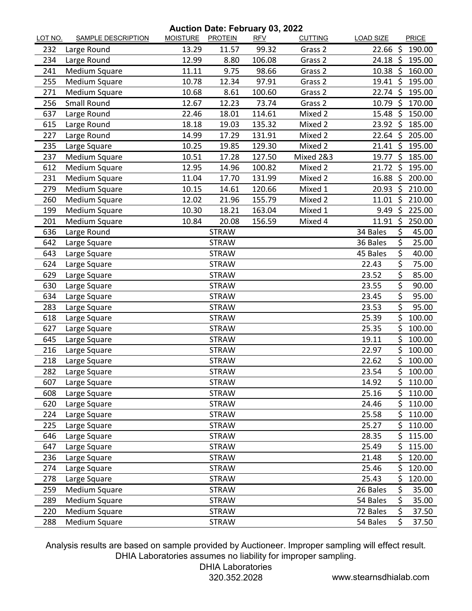**Auction Date: February 03, 2022**

| LOT NO. | <b>SAMPLE DESCRIPTION</b> | MOISTURE PROTEIN |              | <b>RFV</b> | <b>CUTTING</b> | <b>LOAD SIZE</b>    |      | <b>PRICE</b> |
|---------|---------------------------|------------------|--------------|------------|----------------|---------------------|------|--------------|
| 232     | Large Round               | 13.29            | 11.57        | 99.32      | Grass 2        | 22.66               | -\$  | 190.00       |
| 234     | Large Round               | 12.99            | 8.80         | 106.08     | Grass 2        | $24.18 \; \text{S}$ |      | 195.00       |
| 241     | <b>Medium Square</b>      | 11.11            | 9.75         | 98.66      | Grass 2        | $10.38 \; \zeta$    |      | 160.00       |
| 255     | Medium Square             | 10.78            | 12.34        | 97.91      | Grass 2        | 19.41 \$            |      | 195.00       |
| 271     | Medium Square             | 10.68            | 8.61         | 100.60     | Grass 2        | 22.74 \$            |      | 195.00       |
| 256     | <b>Small Round</b>        | 12.67            | 12.23        | 73.74      | Grass 2        | 10.79 \$            |      | 170.00       |
| 637     | Large Round               | 22.46            | 18.01        | 114.61     | Mixed 2        | 15.48               | -\$  | 150.00       |
| 615     | Large Round               | 18.18            | 19.03        | 135.32     | Mixed 2        | 23.92 \$            |      | 185.00       |
| 227     | Large Round               | 14.99            | 17.29        | 131.91     | Mixed 2        | $22.64$ \$          |      | 205.00       |
| 235     | Large Square              | 10.25            | 19.85        | 129.30     | Mixed 2        | $21.41 \;$ \$       |      | 195.00       |
| 237     | Medium Square             | 10.51            | 17.28        | 127.50     | Mixed 2&3      | 19.77               | - \$ | 185.00       |
| 612     | <b>Medium Square</b>      | 12.95            | 14.96        | 100.82     | Mixed 2        | 21.72 \$            |      | 195.00       |
| 231     | Medium Square             | 11.04            | 17.70        | 131.99     | Mixed 2        | 16.88 \$            |      | 200.00       |
| 279     | Medium Square             | 10.15            | 14.61        | 120.66     | Mixed 1        | $20.93$ \$          |      | 210.00       |
| 260     | Medium Square             | 12.02            | 21.96        | 155.79     | Mixed 2        | $11.01$ \$          |      | 210.00       |
| 199     | Medium Square             | 10.30            | 18.21        | 163.04     | Mixed 1        | $9.49 \;$ \$        |      | 225.00       |
| 201     | Medium Square             | 10.84            | 20.08        | 156.59     | Mixed 4        | 11.91 \$            |      | 250.00       |
| 636     | Large Round               |                  | <b>STRAW</b> |            |                | 34 Bales            | \$   | 45.00        |
| 642     | Large Square              |                  | <b>STRAW</b> |            |                | 36 Bales            | \$   | 25.00        |
| 643     | Large Square              |                  | <b>STRAW</b> |            |                | 45 Bales            | \$   | 40.00        |
| 624     | Large Square              |                  | <b>STRAW</b> |            |                | 22.43               | \$   | 75.00        |
| 629     | Large Square              |                  | <b>STRAW</b> |            |                | 23.52               | \$   | 85.00        |
| 630     | Large Square              |                  | <b>STRAW</b> |            |                | 23.55               | \$   | 90.00        |
| 634     | Large Square              |                  | <b>STRAW</b> |            |                | 23.45               | \$   | 95.00        |
| 283     | Large Square              |                  | <b>STRAW</b> |            |                | 23.53               | \$   | 95.00        |
| 618     | Large Square              |                  | <b>STRAW</b> |            |                | 25.39               | \$   | 100.00       |
| 627     | Large Square              |                  | <b>STRAW</b> |            |                | 25.35               | \$   | 100.00       |
| 645     | Large Square              |                  | <b>STRAW</b> |            |                | 19.11               | \$   | 100.00       |
| 216     | Large Square              |                  | <b>STRAW</b> |            |                | 22.97               | \$   | 100.00       |
| 218     | Large Square              |                  | <b>STRAW</b> |            |                | 22.62               | \$   | 100.00       |
| 282     | Large Square              |                  | <b>STRAW</b> |            |                | 23.54               | Ś    | 100.00       |
| 607     | Large Square              |                  | <b>STRAW</b> |            |                | 14.92               | Ş    | 110.00       |
| 608     | Large Square              |                  | <b>STRAW</b> |            |                | 25.16               | \$   | 110.00       |
| 620     | Large Square              |                  | <b>STRAW</b> |            |                | 24.46               | \$   | 110.00       |
| 224     | Large Square              |                  | <b>STRAW</b> |            |                | 25.58               | \$   | 110.00       |
| 225     | Large Square              |                  | <b>STRAW</b> |            |                | 25.27               | \$   | 110.00       |
| 646     | Large Square              |                  | <b>STRAW</b> |            |                | 28.35               | \$   | 115.00       |
| 647     | Large Square              |                  | <b>STRAW</b> |            |                | 25.49               | \$   | 115.00       |
| 236     | Large Square              |                  | <b>STRAW</b> |            |                | 21.48               | \$   | 120.00       |
| 274     | Large Square              |                  | <b>STRAW</b> |            |                | 25.46               | \$   | 120.00       |
| 278     | Large Square              |                  | <b>STRAW</b> |            |                | 25.43               | \$   | 120.00       |
| 259     | Medium Square             |                  | <b>STRAW</b> |            |                | 26 Bales            | \$   | 35.00        |
| 289     | Medium Square             |                  | <b>STRAW</b> |            |                | 54 Bales            | \$   | 35.00        |
| 220     | Medium Square             |                  | <b>STRAW</b> |            |                | 72 Bales            | \$   | 37.50        |
| 288     | Medium Square             |                  | <b>STRAW</b> |            |                | 54 Bales            | \$   | 37.50        |

Analysis results are based on sample provided by Auctioneer. Improper sampling will effect result. DHIA Laboratories assumes no liability for improper sampling.

DHIA Laboratories

320.352.2028 www.stearnsdhialab.com